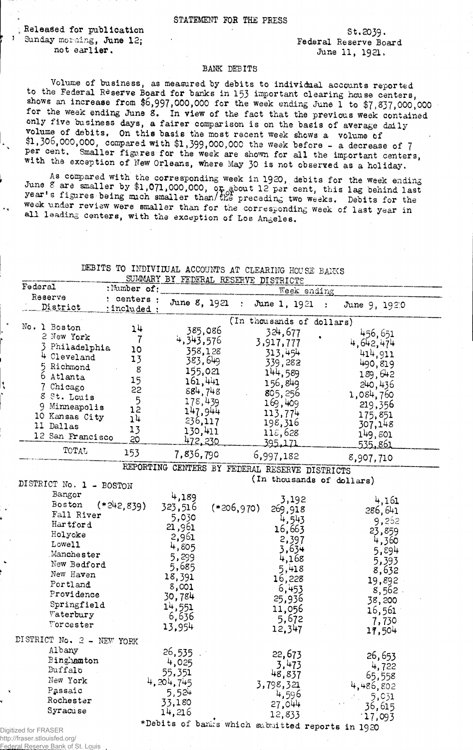## STATEMENT FOR THE PRESS

*i* Released for publication - St.2039. Sunday morning, June 12;<br>
not earlier.<br>  $\begin{array}{ccc}\n\text{Sunder} & \text{Federal Reserve Board} \\
\text{for} & \text{I1 1921}\n\end{array}$ 

June 11, 1921.

## BANK DEBITS

Volume of business, as measured by debits to individual accounts reported to the Federal Reserve Board for banks in 153 important clearing house centers, shows an increase from \$6,997,000,000 for the week ending June 1 to \$7,837,000,000 for the week ending June 8. In view of the fact that the previous week contained only five business days, a fairer comparison is on the basis of average daily volume of debits, On this basis the most recent week shows a volume of \$1,306,000,000, compared with \$1,399,000,000 the week before - a decrease of *J* per cent. Smaller figures for the week are shown for all the important centers, with the exception of New Orleans, where May 30 is not observed as a holiday.

As compared with the corresponding week in 1920, debits for the week ending builed a smaller by  $\frac{1}{9}$ ,071,000,000, or about 12 per cent, this lag behind last year s figures being much smaller than/the preceding two weeks. Debits for the week under review were smaller than for the corresponding week of last year in all leading centers, with the exception of Los Angeles.

## DEBITS TO INDIVIDUAL ACCOUNTS AT CLEARING HOUSE BANKS SUMMARY BY TELEVISION

| Federal                   | :Number of:    |                |              | COMMANT DI PEDERAL RESERVE DISTRICTS           |                                                  |
|---------------------------|----------------|----------------|--------------|------------------------------------------------|--------------------------------------------------|
| Reserve                   | : centers :    |                |              | Week ending                                    |                                                  |
| District                  | :included:     | June 8, 1921   | $\Sigma$ .   | June 1, 1921                                   | June 9, 1920<br>$\ddot{\phantom{a}}$             |
| No. 1 Boston              |                |                |              | (In thousands of dollars)                      |                                                  |
| 2 New York                | 24             | 385,086        |              | 324,677                                        | 456,651                                          |
|                           | 7              | 4,343,576      |              | 3,917,777                                      | 4,642,474                                        |
| 3 Philadelphia            | 10             | 358,128        |              | 313,454                                        | 414,911                                          |
| 4 Cleveland               | 13             | 383,649        |              | 339,282                                        | 490,819                                          |
| 5 Richmond                | 8              | 155,021        |              | 144,589                                        |                                                  |
| 6 Atlanta                 | 15             | 161,441        |              | 156,849                                        | 189,642                                          |
| 7 Chicago                 | 55             | 884,748        |              |                                                | 240,436                                          |
| 8 St. Louis               |                | 178,439        |              | 805, 256                                       | 1,084,760                                        |
| 9 Minneapolis             | $\frac{5}{12}$ |                |              | 169,409                                        | 219,356                                          |
| 10 Kansas City            | 14             | 147,944        |              | 113,774                                        | 175,851                                          |
| 11 Dallas                 | 13             | 236,117.       |              | 198,316                                        | 307,148                                          |
| 12 San Francisco          | 50             | 130,411        |              | 118,628                                        | 149,801                                          |
|                           |                | <u>472,230</u> |              | 395,171                                        | <u>535,861</u>                                   |
| TOTAL                     | 153            | 7,836,790      |              | 6,997,182                                      | 8,907,710                                        |
|                           |                |                |              | REPORTING CENTERS BY FEDERAL RESERVE DISTRICTS |                                                  |
| DISTRICT No. 1 - BOSTON   |                |                |              | (In thousands of dollars)                      |                                                  |
| Bangor                    |                | 4,189          |              |                                                |                                                  |
| Boston                    | $(*242,839)$   | 323,516        |              | 3,192                                          | 4,161                                            |
| Fall River                |                |                | $(*206,970)$ | 269,918                                        | 286,641                                          |
| Hartford                  |                | 5,030          |              | 4,543                                          | 9,252                                            |
| Holyoke                   |                | 21,961         |              | 16,663                                         | 23,859                                           |
| Lowel1                    |                | 2,961          |              | 2,397                                          | 4,360                                            |
| Manchester                |                | 4,805          |              | 3,634                                          | 5,894                                            |
|                           |                | 5,299          |              | 4,168                                          | 5,393                                            |
| New Bedford               |                | 5,685          |              | 5,418                                          | 8,632                                            |
| New Haven                 |                | 18,391         |              | 16,228                                         | 19,892                                           |
| Portland                  |                | 8,001          |              | 6,453                                          | 8,562                                            |
| Providence                |                | 30,784         |              | 25,936                                         | 38,200                                           |
| Springfield               |                | 14,551         |              | 11,056                                         |                                                  |
| Waterbury                 |                | 6,636          |              | 5,672                                          | 16,561                                           |
| Vorcester                 |                | 13,954         |              | 12,347                                         | 7,730<br>17,504                                  |
| DISTRICT No. 2 - NEW YORK |                |                |              |                                                |                                                  |
| Albany                    |                | 26,535         |              | 22,673                                         |                                                  |
| Binghamton                |                | 4,025          |              |                                                | 26,653                                           |
| Buffalo                   |                | 55,351         |              | 3,473                                          | 4,722                                            |
| New York                  |                | 4.204,745      |              | 48,837                                         | 65,558                                           |
| Passaic                   |                |                |              | 3,798,321                                      | 4,486,802                                        |
| Rochester                 |                | 5,524          |              | 4,596                                          | 5,031                                            |
| Syracuse                  |                | 33,180         |              | 27,044                                         | 36,615                                           |
|                           |                | 14,216         |              | 12,833                                         | 17,093                                           |
| Digitized for FRASER      |                |                |              |                                                | *Debits of banks which submitted reports in 1920 |
|                           |                |                |              |                                                |                                                  |

http://fraser.stlouisfed.org/ Reserve Bank of St.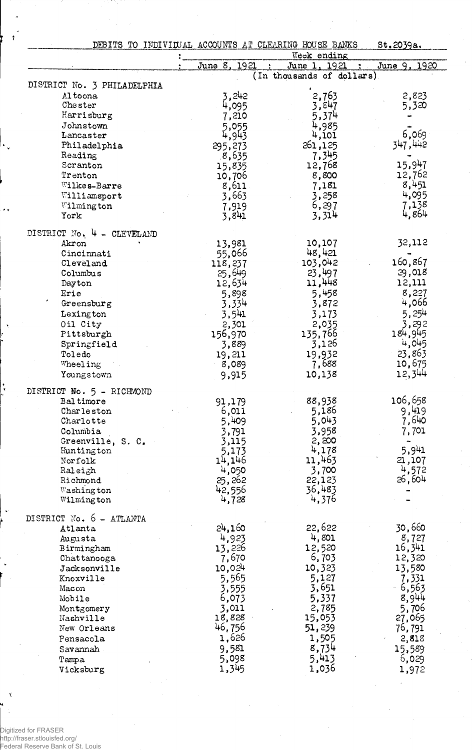|                             | DEBITS TO INDIVIDUAL ACCOUNTS AT CLEARING HOUSE BANKS | Week ending               | St.2039a.      |
|-----------------------------|-------------------------------------------------------|---------------------------|----------------|
|                             | June 8, 1921                                          | June 1, 1921              | June 9, 1920   |
| DISTRICT No. 3 PHILADELPHIA |                                                       | (In thousands of dollars) |                |
| Altoona                     | 3,242                                                 | 2,763                     | 2,823          |
| Chester                     | 4,095                                                 | 3,847                     | 5,320          |
| Harrisburg                  | 7,210                                                 | 5,374                     |                |
| Johnstown                   | 5,055                                                 | 4,985                     |                |
| Lancaster                   | 4,943                                                 | 4,101                     | 6,069          |
| Philadelphia                | 295,273                                               | 261,125                   | 347.442        |
| Reading                     | 8,635                                                 | 7,345                     |                |
| Scranton                    | 15,835                                                | 12,768                    | 15,947         |
| Trenton                     | 10,706                                                | 8,800                     | 12,762         |
| Wilkes-Barre                | 8,611                                                 | 7,181                     | 8,451          |
| Williamsport                | 3,663                                                 | 3,258                     | 4,095          |
| Wilmington                  | 7,919                                                 | 6,297                     | 7,138<br>4,864 |
| York                        | 3,841                                                 | 3,314                     |                |
| DISTRICT No. 4 - CLEVELAND  |                                                       |                           |                |
| Akron                       | 13,981                                                | 10,107                    | 32,112         |
| Cincinnati                  | 55,066                                                | 48,421                    |                |
| Cleveland                   | 118,237                                               | 103,042                   | 160,867        |
| Columbus                    | 25,649                                                | 23,497                    | 29,018         |
| Dayton                      | 12,634                                                | 11,448                    | 12,111         |
| Erie                        | 5,898                                                 | 5,458                     | 8,227          |
| Greensburg                  | 3,334                                                 | 3,872                     | 4,066          |
| Lexington                   | 3,541                                                 | 3,173                     | 5,254          |
| Oil City                    | 2,301                                                 | 2,035                     | 3,292          |
| Pittsburgh                  | 156,970                                               | 135,766                   | 184,945        |
| Springfield                 | 3,889                                                 | 3,126                     | 4,045          |
| Toledo                      | 19,211                                                | 19,932                    | 23,863         |
| Wheeling                    | 8,089                                                 | 7,688                     | 10,675         |
| Youngstown                  | 9,915                                                 | 10,138                    | 12,344         |
| DISTRICT No. 5 - RICHMOND   |                                                       |                           |                |
| <b>Baltimore</b>            | 91,179                                                | 88,938                    | 106,658        |
| Charleston                  | 6,011                                                 | 5,186                     | 9,419          |
| Charlotte                   | 5,409                                                 | 5,043                     | 7,640          |
| Columbia                    | 3,791                                                 | 3,958                     | 7,701          |
| Greenville, S. C.           | 3,115                                                 | 2,200                     |                |
| Huntington                  | 5,173                                                 | 4,178                     | 5,941          |
| Norfolk                     | 14,146                                                | 11,463                    | 21,107         |
| Raleigh                     | 4,050                                                 | 3,700                     | 4,572          |
| Richmond                    | 25,262                                                | 22,123                    | 26,604         |
| Washington<br>Wilmington    | 42,556<br>4,728                                       | 36,483<br>4,376           |                |
|                             |                                                       |                           |                |
| DISTRICT No. 6 - ATLANTA    |                                                       |                           |                |
| Atlanta                     | 24,160                                                | 22,622                    | 30,660         |
| Augusta                     | 4,923                                                 | 4,801                     | 8,727          |
| Birmingham                  | 13,226                                                | 12,520                    | 16,341         |
| Chattanooga                 | 7,670                                                 | 6,703                     | 12,320         |
| Jacksonville                | 10,024                                                | 10,323                    | 13,580         |
| Knoxville                   | 5,565                                                 | 5,127                     | 7,331          |
| Macon                       | 3,555                                                 | 3,651                     | 6,563          |
| Mobile                      | 6,073                                                 | 5,337                     | 8,944          |
| Montgomery                  | 3,011                                                 | 2,785                     | 5,706          |
| Nashville                   | 18,828                                                | 15,053                    | 27,065         |
| New Orleans                 | 46,756                                                | 51,239                    | 76,791         |
| Pensacola                   | 1,626                                                 | 1,505                     | 2,818          |
| Savannah                    | 9,581                                                 | 8,734                     | 15,589         |
| Tampa                       | 5,098<br>1,345                                        | 5,413<br>1,036            | 6,029          |
| Vicksburg                   |                                                       |                           | 1,972          |

Digitized for FRASER http://fraser.stlouisfed.org/ Federal Reserve Bank of St. Louis

 $\ddot{\cdot}$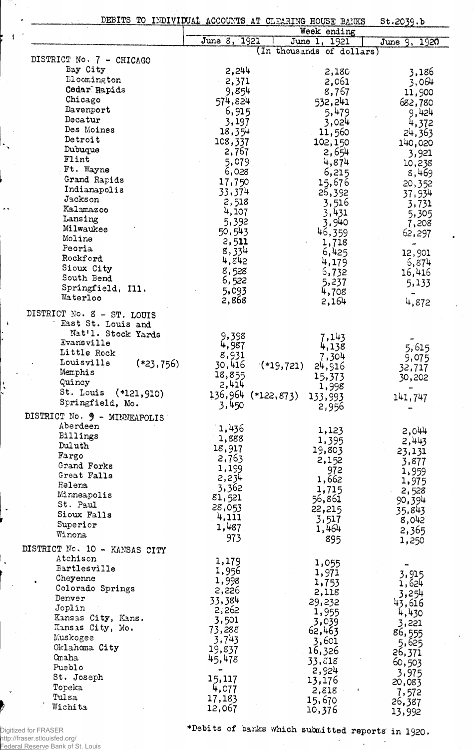|                               |                    | DEBITS TO INDIVIDUAL ACCOUNTS AT CLEARING HOUSE BANKS | St.2039.b        |
|-------------------------------|--------------------|-------------------------------------------------------|------------------|
|                               |                    | Week ending                                           |                  |
|                               | June 8, 1921       | June 1, 1921                                          | June 9, 1920     |
| DISTRICT No. 7 - CHICAGO      |                    | (In thousands of dollars)                             |                  |
| Bay City                      | 2,244.             | 2,180                                                 | 3,186            |
| Elocmington                   | 2,371              | 2,061                                                 | 3,064            |
| Cedar Rapids                  | 9,854              | 8,767                                                 | 11,900           |
| Chicago                       | 574,824            | 532,241                                               | 682,780          |
| Davenport                     | 6,915              | 5,479                                                 | 9,424            |
| Decatur                       | 3,197              | 3,024                                                 | 4,372            |
| Des Moines<br>Detroit         | 18,354             | 11,560                                                | 24,363           |
| Dubuque                       | 108,337            | 102,150                                               | 140,020          |
| Flint                         | 2,767<br>5,079     | 2,654<br>4,874                                        | 3,921            |
| Ft. Wayne                     | 6,028              | 6,215                                                 | 10,238<br>8,469  |
| Grand Rapids                  | 17,750             | 15,676                                                | 20,352           |
| Indianapolis                  | 33,374             | 26,392                                                | 37,934           |
| Jackson                       | 2,518              | 3,516                                                 | 3,731            |
| Kalamazoo                     | 4,107              | 3,431                                                 | 5,305            |
| Lansing<br>Milwaukee          | 5,392              | 3,940                                                 | 7,208            |
| Moline                        | 50,543             | 46,359                                                | 62,297           |
| Peoria                        | 2,511<br>8,334     | 1,718                                                 | -                |
| Rockford                      | 4,842              | 6,425<br>4,179                                        | 12,901           |
| Sioux City                    | 8,528              | 5,732                                                 | 5,874<br>16,416  |
| South Bend                    | 6,522              | 5,237                                                 | 5,133            |
| Springfield, Ill.             | 5,093              | 4,708                                                 |                  |
| Waterloo                      | 2,868              | 2,164                                                 | 4,872            |
| DISTRICT No. 8 - ST. LOUIS    |                    |                                                       |                  |
| East St. Louis and            |                    |                                                       |                  |
| Nat'l. Stock Yards            | 9,398              | 7,143                                                 |                  |
| Evansville<br>Little Rock     | 4,987              | 4,138                                                 | 5,615            |
| Louisville<br>$(*23,756)$     | 8,931              | 7,304                                                 | 9,075            |
| Memphis                       | 30,416<br>18,855   | $(*19,721)$<br>24,916                                 | 32,717           |
| Quincy                        | 2,414              | 15,373                                                | 30,202           |
| St. Louis (*121,910)          | 136,964 (*122,873) | 1,998<br>133,993                                      | 141,747          |
| Springfield, Mo.              | 3,450              | 2,956                                                 |                  |
| DISTRICT No. 9 - MINNEAPOLIS  |                    |                                                       |                  |
| Aberdeen                      | 1,436              | 1,123                                                 | 2,044            |
| Billings                      | 1,888              | 1,395                                                 | 2,443            |
| Duluth                        | 18,917             | 19,803                                                | 23,131           |
| Fargo<br>Grand Forks          | 2,763              | 2,152                                                 | 3,877            |
| Great Falls                   | 1,199              | 972                                                   | 1,959            |
| Helena                        | 2,234              | 1,662                                                 | 1,975            |
| Minneapolis                   | 3,362<br>81,521    | 1,715<br>56,861                                       | 2,528            |
| St. Paul                      | 28,053             | 22,215                                                | 90,394<br>35,843 |
| Sioux Falls                   | 4,111              | 3,517                                                 | 8,042            |
| Superior                      | 1,487              | 1,464                                                 | 2,365            |
| Winona                        | 973                | 895                                                   | 1,250            |
| DISTRICT No. 10 - KANSAS CITY |                    |                                                       |                  |
| Atchison                      | 1,179              | 1,055                                                 |                  |
| Bartlesville                  | 1,956              | 1,971                                                 | 3,915            |
| Cheyenne<br>Colorado Springs  | 1,998              | 1,753                                                 | 1,624            |
| Denver                        | 2,226<br>33,384    | 2,118                                                 | 3,254            |
| Joplin                        | 2,262              | 29,232                                                | 43,616           |
| Kansas City, Kans.            | 3,501              | 1,955<br>3,039                                        | 4,430            |
| Kansas City, Mo.              | 73,288             | 62,463                                                | 3,221<br>86,555  |
| Muskogee                      | 3,743              | 3,601                                                 | 5,625            |
| Oklahoma City                 | 19,837             | 16,326                                                | 26,371           |
| Omaha                         | 45,478             | 33,818                                                | 60,503           |
| Pueblo<br>St. Joseph          |                    | 2,924                                                 | 3,975            |
| Topeka                        | 15,117<br>4,077    | 13,176                                                | 20,083           |
| Tulsa                         | 17,183             | 2,818<br>15,670                                       | 7,572            |
| Wichita                       | 12,067             | 10,376                                                | 26,387<br>13,992 |

Digitized for FRASER http://fraser.stlouisfed.org/ Federal Reserve Bank of St. Louis

73.

 $\mathcal{A}$ 

 $\cdot$ 

 $\rightarrow$ 

 $\ddot{\phantom{a}}$ 

 $\frac{1}{\sqrt{2}}$ 

 $\ddot{\phantom{1}}$ 

 $\ddot{\phantom{0}}$ 

♦Debits of banks which submitted reports' in 1920,

 $\mathcal{L}^{\pm}$ 

 $\sim$ 

 $\sim$   $\alpha$